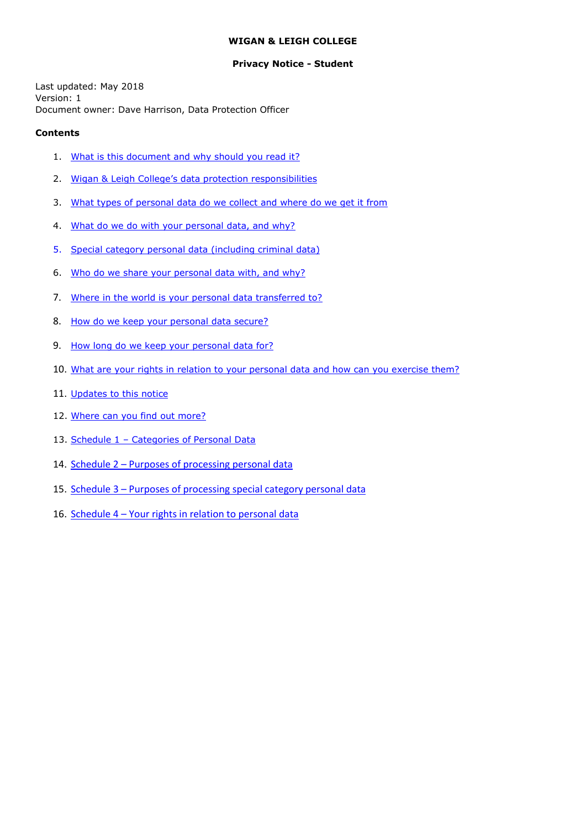#### **WIGAN & LEIGH COLLEGE**

#### **Privacy Notice - Student**

<span id="page-0-0"></span>Last updated: May 2018 Version: 1 Document owner: Dave Harrison, Data Protection Officer

#### **Contents**

- 1. [What is this document and why should you read it?](#page-0-0)
- 2. Wi[gan & Leigh College's data protection responsibilities](#page-1-0)
- 3. [What types of personal data do we collect and where do we get it from](#page-1-1)
- 4. [What do we do with your personal data, and why?](#page-1-2)
- 5. [Special category personal data \(including criminal data\)](#page-2-0)
- 6. [Who do we share your personal data with, and why?](#page-2-0)
- 7. [Where in the world is your personal data transferred to?](#page-3-0)
- 8. How do we [keep your personal data secure?](#page-3-1)
- 9. [How long do we keep your personal data for?](#page-3-2)
- 10. [What are your rights in relation to your personal data and how can you exercise them?](#page-4-0)
- 11. [Updates to this notice](#page-4-1)
- 12. [Where can you find out more?](#page-4-2)
- 13. Schedule 1 [Categories of Personal Data](#page-5-0)
- 14. Schedule 2 [Purposes of processing personal data](#page-7-0)
- 15. Schedule 3 [Purposes of processing special category personal data](#page-10-0)
- 16. Schedule 4 [Your rights in relation to personal data](#page-12-0)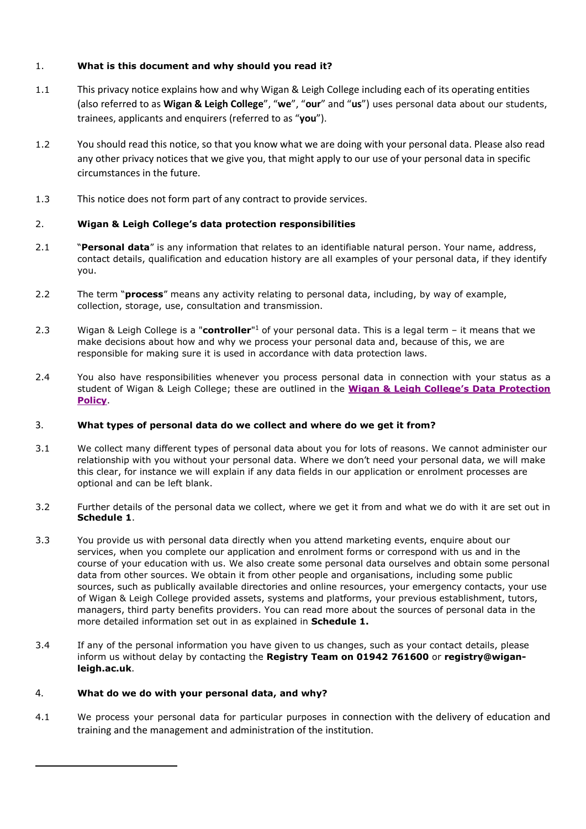# 1. **What is this document and why should you read it?**

- 1.1 This privacy notice explains how and why Wigan & Leigh College including each of its operating entities (also referred to as **Wigan & Leigh College**", "**we**", "**our**" and "**us**") uses personal data about our students, trainees, applicants and enquirers (referred to as "**you**").
- 1.2 You should read this notice, so that you know what we are doing with your personal data. Please also read any other privacy notices that we give you, that might apply to our use of your personal data in specific circumstances in the future.
- 1.3 This notice does not form part of any contract to provide services.

# <span id="page-1-0"></span>2. **Wigan & Leigh College's data protection responsibilities**

- 2.1 "**Personal data**" is any information that relates to an identifiable natural person. Your name, address, contact details, qualification and education history are all examples of your personal data, if they identify you.
- 2.2 The term "**process**" means any activity relating to personal data, including, by way of example, collection, storage, use, consultation and transmission.
- 2.3 Wigan & Leigh College is a "**controller**" <sup>1</sup> of your personal data. This is a legal term it means that we make decisions about how and why we process your personal data and, because of this, we are responsible for making sure it is used in accordance with data protection laws.
- 2.4 You also have responsibilities whenever you process personal data in connection with your status as a student of Wigan & Leigh College; these are outlined in the **[Wigan & Leigh College's](https://www.wigan-leigh.ac.uk/about/reports-and-policies) Data Protection [Policy](https://www.wigan-leigh.ac.uk/about/reports-and-policies)**.

## <span id="page-1-1"></span>3. **What types of personal data do we collect and where do we get it from?**

- 3.1 We collect many different types of personal data about you for lots of reasons. We cannot administer our relationship with you without your personal data. Where we don't need your personal data, we will make this clear, for instance we will explain if any data fields in our application or enrolment processes are optional and can be left blank.
- 3.2 Further details of the personal data we collect, where we get it from and what we do with it are set out in **Schedule 1**.
- <span id="page-1-2"></span>3.3 You provide us with personal data directly when you attend marketing events, enquire about our services, when you complete our application and enrolment forms or correspond with us and in the course of your education with us. We also create some personal data ourselves and obtain some personal data from other sources. We obtain it from other people and organisations, including some public sources, such as publically available directories and online resources, your emergency contacts, your use of Wigan & Leigh College provided assets, systems and platforms, your previous establishment, tutors, managers, third party benefits providers. You can read more about the sources of personal data in the more detailed information set out in as explained in **Schedule 1.**
- 3.4 If any of the personal information you have given to us changes, such as your contact details, please inform us without delay by contacting the **Registry Team on 01942 761600** or **registry@wiganleigh.ac.uk**.

## 4. **What do we do with your personal data, and why?**

1

4.1 We process your personal data for particular purposes in connection with the delivery of education and training and the management and administration of the institution.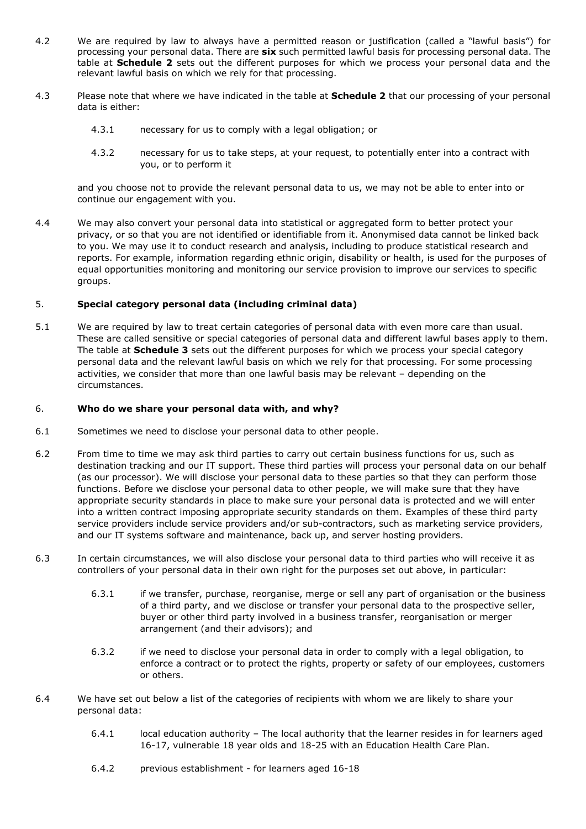- 4.2 We are required by law to always have a permitted reason or justification (called a "lawful basis") for processing your personal data. There are **six** such permitted lawful basis for processing personal data. The table at **Schedule 2** sets out the different purposes for which we process your personal data and the relevant lawful basis on which we rely for that processing.
- 4.3 Please note that where we have indicated in the table at **Schedule 2** that our processing of your personal data is either:
	- 4.3.1 necessary for us to comply with a legal obligation; or
	- 4.3.2 necessary for us to take steps, at your request, to potentially enter into a contract with you, or to perform it

and you choose not to provide the relevant personal data to us, we may not be able to enter into or continue our engagement with you.

4.4 We may also convert your personal data into statistical or aggregated form to better protect your privacy, or so that you are not identified or identifiable from it. Anonymised data cannot be linked back to you. We may use it to conduct research and analysis, including to produce statistical research and reports. For example, information regarding ethnic origin, disability or health, is used for the purposes of equal opportunities monitoring and monitoring our service provision to improve our services to specific groups.

### <span id="page-2-0"></span>5. **Special category personal data (including criminal data)**

5.1 We are required by law to treat certain categories of personal data with even more care than usual. These are called sensitive or special categories of personal data and different lawful bases apply to them. The table at **Schedule 3** sets out the different purposes for which we process your special category personal data and the relevant lawful basis on which we rely for that processing. For some processing activities, we consider that more than one lawful basis may be relevant – depending on the circumstances.

#### 6. **Who do we share your personal data with, and why?**

- 6.1 Sometimes we need to disclose your personal data to other people.
- 6.2 From time to time we may ask third parties to carry out certain business functions for us, such as destination tracking and our IT support. These third parties will process your personal data on our behalf (as our processor). We will disclose your personal data to these parties so that they can perform those functions. Before we disclose your personal data to other people, we will make sure that they have appropriate security standards in place to make sure your personal data is protected and we will enter into a written contract imposing appropriate security standards on them. Examples of these third party service providers include service providers and/or sub-contractors, such as marketing service providers, and our IT systems software and maintenance, back up, and server hosting providers.
- 6.3 In certain circumstances, we will also disclose your personal data to third parties who will receive it as controllers of your personal data in their own right for the purposes set out above, in particular:
	- 6.3.1 if we transfer, purchase, reorganise, merge or sell any part of organisation or the business of a third party, and we disclose or transfer your personal data to the prospective seller, buyer or other third party involved in a business transfer, reorganisation or merger arrangement (and their advisors); and
	- 6.3.2 if we need to disclose your personal data in order to comply with a legal obligation, to enforce a contract or to protect the rights, property or safety of our employees, customers or others.
- 6.4 We have set out below a list of the categories of recipients with whom we are likely to share your personal data:
	- 6.4.1 local education authority The local authority that the learner resides in for learners aged 16-17, vulnerable 18 year olds and 18-25 with an Education Health Care Plan.
	- 6.4.2 previous establishment for learners aged 16-18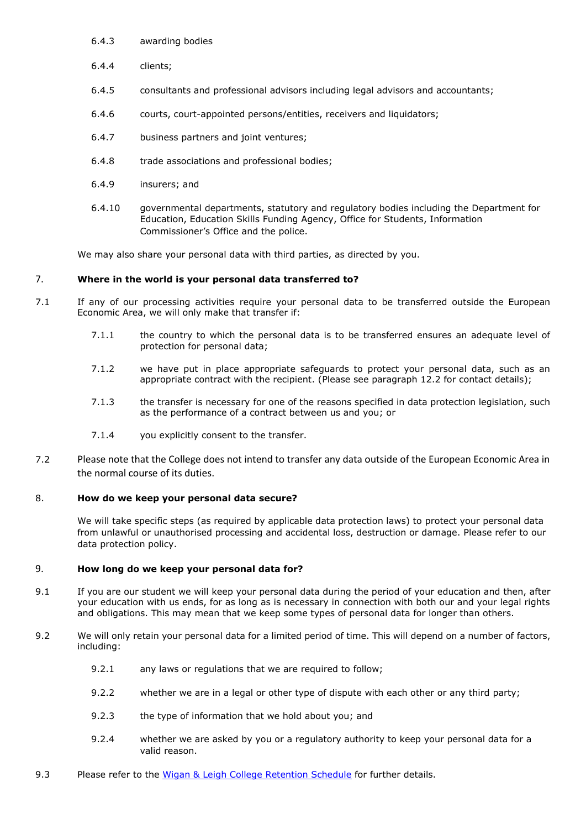- 6.4.3 awarding bodies
- 6.4.4 clients;
- 6.4.5 consultants and professional advisors including legal advisors and accountants;
- 6.4.6 courts, court-appointed persons/entities, receivers and liquidators;
- 6.4.7 business partners and joint ventures;
- 6.4.8 trade associations and professional bodies;
- 6.4.9 insurers; and
- 6.4.10 governmental departments, statutory and regulatory bodies including the Department for Education, Education Skills Funding Agency, Office for Students, Information Commissioner's Office and the police.

We may also share your personal data with third parties, as directed by you.

# <span id="page-3-0"></span>7. **Where in the world is your personal data transferred to?**

- 7.1 If any of our processing activities require your personal data to be transferred outside the European Economic Area, we will only make that transfer if:
	- 7.1.1 the country to which the personal data is to be transferred ensures an adequate level of protection for personal data;
	- 7.1.2 we have put in place appropriate safeguards to protect your personal data, such as an appropriate contract with the recipient. (Please see paragraph 12.2 for contact details);
	- 7.1.3 the transfer is necessary for one of the reasons specified in data protection legislation, such as the performance of a contract between us and you; or
	- 7.1.4 you explicitly consent to the transfer.
- 7.2 Please note that the College does not intend to transfer any data outside of the European Economic Area in the normal course of its duties.

## <span id="page-3-1"></span>8. **How do we keep your personal data secure?**

We will take specific steps (as required by applicable data protection laws) to protect your personal data from unlawful or unauthorised processing and accidental loss, destruction or damage. Please refer to our data protection policy.

## <span id="page-3-2"></span>9. **How long do we keep your personal data for?**

- 9.1 If you are our student we will keep your personal data during the period of your education and then, after your education with us ends, for as long as is necessary in connection with both our and your legal rights and obligations. This may mean that we keep some types of personal data for longer than others.
- 9.2 We will only retain your personal data for a limited period of time. This will depend on a number of factors, including:
	- 9.2.1 any laws or regulations that we are required to follow;
	- 9.2.2 whether we are in a legal or other type of dispute with each other or any third party;
	- 9.2.3 the type of information that we hold about you; and
	- 9.2.4 whether we are asked by you or a regulatory authority to keep your personal data for a valid reason.
- 9.3 Please refer to the [Wigan & Leigh College](https://www.wigan-leigh.ac.uk/about/reports-and-policies) Retention Schedule for further details.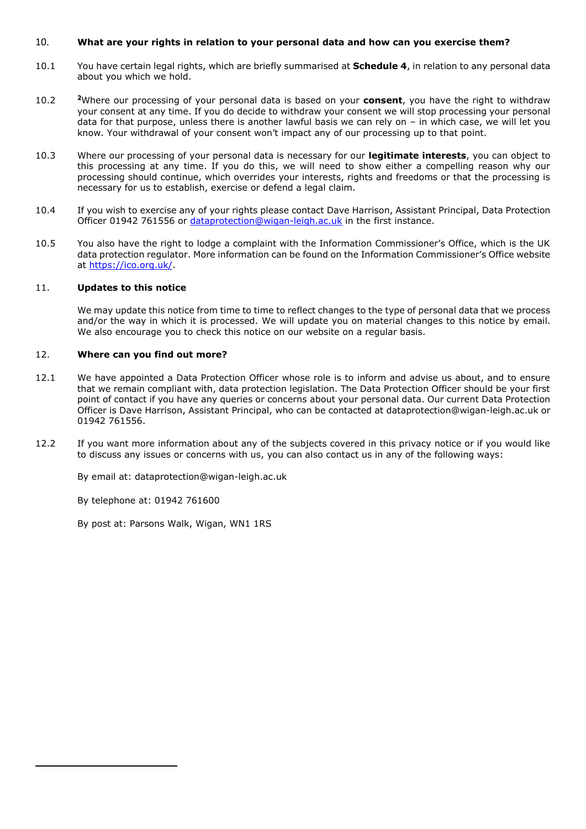#### <span id="page-4-3"></span><span id="page-4-0"></span>10. **What are your rights in relation to your personal data and how can you exercise them?**

- 10.1 You have certain legal rights, which are briefly summarised at **Schedule 4**, in relation to any personal data about you which we hold.
- 10.2 **<sup>2</sup>**Where our processing of your personal data is based on your **consent**, you have the right to withdraw your consent at any time. If you do decide to withdraw your consent we will stop processing your personal data for that purpose, unless there is another lawful basis we can rely on – in which case, we will let you know. Your withdrawal of your consent won't impact any of our processing up to that point.
- 10.3 Where our processing of your personal data is necessary for our **legitimate interests**, you can object to this processing at any time. If you do this, we will need to show either a compelling reason why our processing should continue, which overrides your interests, rights and freedoms or that the processing is necessary for us to establish, exercise or defend a legal claim.
- 10.4 If you wish to exercise any of your rights please contact Dave Harrison, Assistant Principal, Data Protection Officer 01942 761556 or [dataprotection@wigan-leigh.ac.uk](mailto:dataprotection@wigan-leigh.ac.uk) in the first instance.
- 10.5 You also have the right to lodge a complaint with the Information Commissioner's Office, which is the UK data protection regulator. More information can be found on the Information Commissioner's Office website at [https://ico.org.uk/.](https://ico.org.uk/)

#### <span id="page-4-1"></span>11. **Updates to this notice**

We may update this notice from time to time to reflect changes to the type of personal data that we process and/or the way in which it is processed. We will update you on material changes to this notice by email. We also encourage you to check this notice on our website on a regular basis.

### <span id="page-4-2"></span>12. **Where can you find out more?**

- 12.1 We have appointed a Data Protection Officer whose role is to inform and advise us about, and to ensure that we remain compliant with, data protection legislation. The Data Protection Officer should be your first point of contact if you have any queries or concerns about your personal data. Our current Data Protection Officer is Dave Harrison, Assistant Principal, who can be contacted at dataprotection@wigan-leigh.ac.uk or 01942 761556.
- 12.2 If you want more information about any of the subjects covered in this privacy notice or if you would like to discuss any issues or concerns with us, you can also contact us in any of the following ways:

By email at: dataprotection@wigan-leigh.ac.uk

By telephone at: 01942 761600

1

By post at: Parsons Walk, Wigan, WN1 1RS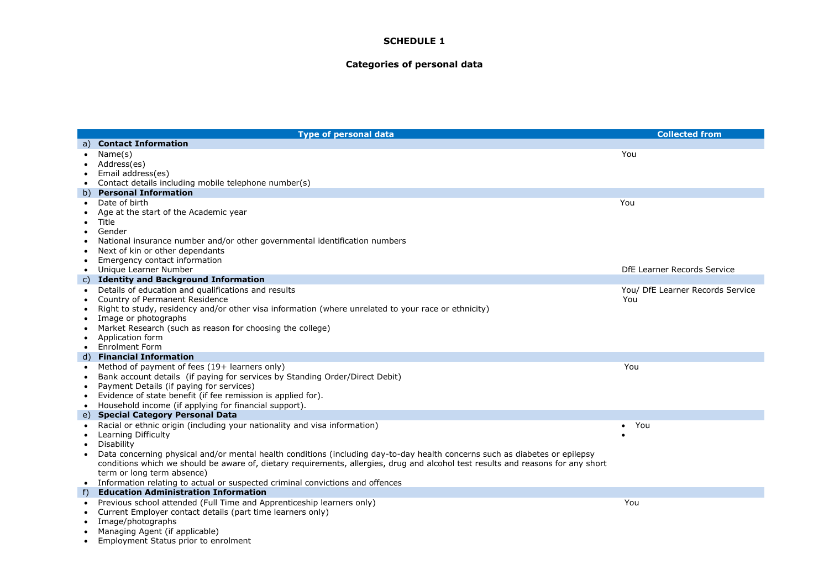### **Categories of personal data**

<span id="page-5-0"></span>

|                | <b>Type of personal data</b>                                                                                                     | <b>Collected from</b>            |
|----------------|----------------------------------------------------------------------------------------------------------------------------------|----------------------------------|
| a)             | <b>Contact Information</b>                                                                                                       |                                  |
|                | Name(s)                                                                                                                          | You                              |
|                | Address(es)                                                                                                                      |                                  |
| ٠              | Email address(es)                                                                                                                |                                  |
| $\bullet$      | Contact details including mobile telephone number(s)                                                                             |                                  |
|                | b) Personal Information                                                                                                          |                                  |
|                | Date of birth                                                                                                                    | You                              |
|                | Age at the start of the Academic year                                                                                            |                                  |
| $\bullet$      | Title                                                                                                                            |                                  |
|                | Gender                                                                                                                           |                                  |
|                | National insurance number and/or other governmental identification numbers                                                       |                                  |
| ٠              | Next of kin or other dependants                                                                                                  |                                  |
| $\bullet$      | Emergency contact information                                                                                                    |                                  |
|                | Unique Learner Number                                                                                                            | DfE Learner Records Service      |
|                | c) Identity and Background Information                                                                                           |                                  |
| $\bullet$      | Details of education and qualifications and results                                                                              | You/ DfE Learner Records Service |
| $\bullet$      | Country of Permanent Residence                                                                                                   | You                              |
| $\bullet$      | Right to study, residency and/or other visa information (where unrelated to your race or ethnicity)                              |                                  |
|                | Image or photographs<br>Market Research (such as reason for choosing the college)                                                |                                  |
| ٠<br>$\bullet$ | Application form                                                                                                                 |                                  |
| $\bullet$      | <b>Enrolment Form</b>                                                                                                            |                                  |
|                | d) Financial Information                                                                                                         |                                  |
| $\bullet$      | Method of payment of fees (19+ learners only)                                                                                    | You                              |
| $\bullet$      | Bank account details (if paying for services by Standing Order/Direct Debit)                                                     |                                  |
| $\bullet$      | Payment Details (if paying for services)                                                                                         |                                  |
|                | Evidence of state benefit (if fee remission is applied for).                                                                     |                                  |
| $\bullet$      | Household income (if applying for financial support).                                                                            |                                  |
|                | e) Special Category Personal Data                                                                                                |                                  |
|                | Racial or ethnic origin (including your nationality and visa information)                                                        | You<br>$\bullet$                 |
|                | Learning Difficulty                                                                                                              |                                  |
| $\bullet$      | Disability                                                                                                                       |                                  |
|                | Data concerning physical and/or mental health conditions (including day-to-day health concerns such as diabetes or epilepsy      |                                  |
|                | conditions which we should be aware of, dietary requirements, allergies, drug and alcohol test results and reasons for any short |                                  |
|                | term or long term absence)                                                                                                       |                                  |
|                | • Information relating to actual or suspected criminal convictions and offences                                                  |                                  |
| $f$ )          | <b>Education Administration Information</b>                                                                                      |                                  |
| $\bullet$      | Previous school attended (Full Time and Apprenticeship learners only)                                                            | You                              |
|                | Current Employer contact details (part time learners only)                                                                       |                                  |
|                | Image/photographs                                                                                                                |                                  |
|                | Managing Agent (if applicable)                                                                                                   |                                  |

• Employment Status prior to enrolment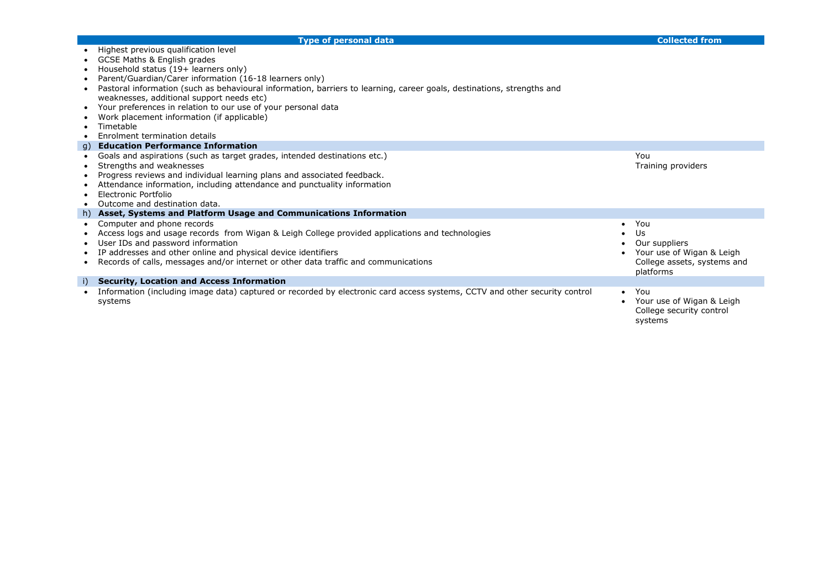|           | <b>Type of personal data</b>                                                                                               |           | <b>Collected from</b>                                 |
|-----------|----------------------------------------------------------------------------------------------------------------------------|-----------|-------------------------------------------------------|
|           | Highest previous qualification level                                                                                       |           |                                                       |
|           | GCSE Maths & English grades                                                                                                |           |                                                       |
|           | Household status (19+ learners only)                                                                                       |           |                                                       |
|           | Parent/Guardian/Carer information (16-18 learners only)                                                                    |           |                                                       |
|           | Pastoral information (such as behavioural information, barriers to learning, career goals, destinations, strengths and     |           |                                                       |
|           | weaknesses, additional support needs etc)                                                                                  |           |                                                       |
| $\bullet$ | Your preferences in relation to our use of your personal data                                                              |           |                                                       |
|           | Work placement information (if applicable)                                                                                 |           |                                                       |
|           | Timetable                                                                                                                  |           |                                                       |
|           | Enrolment termination details                                                                                              |           |                                                       |
|           | g) Education Performance Information                                                                                       |           |                                                       |
|           | Goals and aspirations (such as target grades, intended destinations etc.)                                                  |           | You                                                   |
|           | Strengths and weaknesses                                                                                                   |           | Training providers                                    |
|           | Progress reviews and individual learning plans and associated feedback.                                                    |           |                                                       |
|           | Attendance information, including attendance and punctuality information                                                   |           |                                                       |
|           | Electronic Portfolio                                                                                                       |           |                                                       |
|           | Outcome and destination data.                                                                                              |           |                                                       |
|           | h) Asset, Systems and Platform Usage and Communications Information                                                        |           |                                                       |
|           | Computer and phone records                                                                                                 |           | You                                                   |
|           | Access logs and usage records from Wigan & Leigh College provided applications and technologies                            |           | Us                                                    |
|           | User IDs and password information                                                                                          |           | Our suppliers                                         |
|           | IP addresses and other online and physical device identifiers                                                              |           | Your use of Wigan & Leigh                             |
|           | Records of calls, messages and/or internet or other data traffic and communications                                        |           | College assets, systems and<br>platforms              |
| i)        | <b>Security, Location and Access Information</b>                                                                           |           |                                                       |
|           | Information (including image data) captured or recorded by electronic card access systems, CCTV and other security control | $\bullet$ | You                                                   |
|           | systems                                                                                                                    |           | Your use of Wigan & Leigh<br>College security control |
|           |                                                                                                                            |           | systems                                               |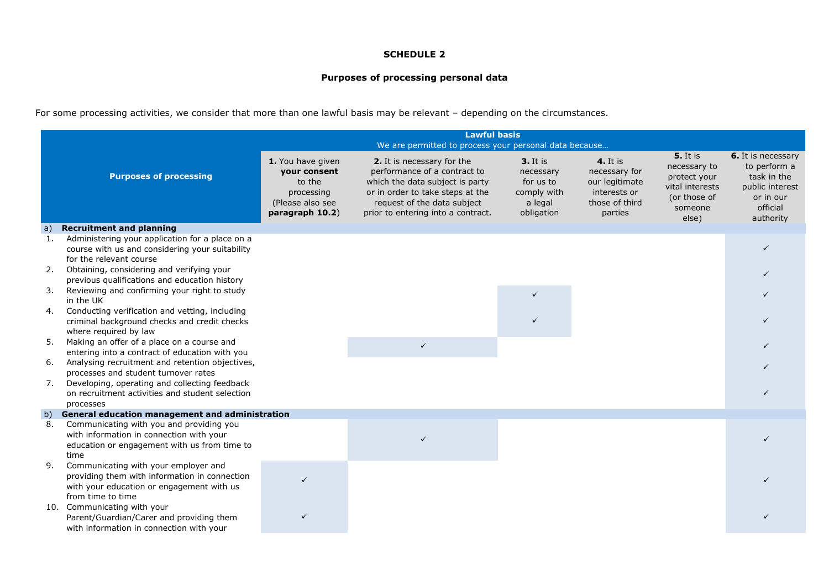# **Purposes of processing personal data**

For some processing activities, we consider that more than one lawful basis may be relevant – depending on the circumstances.

<span id="page-7-0"></span>

|              | <b>Lawful basis</b><br>We are permitted to process your personal data because                                                                           |                                                                                                  |                                                                                                                                                                                                        |                                                                            |                                                                                                 |                                                                                                        |                                                                                                            |
|--------------|---------------------------------------------------------------------------------------------------------------------------------------------------------|--------------------------------------------------------------------------------------------------|--------------------------------------------------------------------------------------------------------------------------------------------------------------------------------------------------------|----------------------------------------------------------------------------|-------------------------------------------------------------------------------------------------|--------------------------------------------------------------------------------------------------------|------------------------------------------------------------------------------------------------------------|
|              | <b>Purposes of processing</b>                                                                                                                           | 1. You have given<br>your consent<br>to the<br>processing<br>(Please also see<br>paragraph 10.2) | 2. It is necessary for the<br>performance of a contract to<br>which the data subject is party<br>or in order to take steps at the<br>request of the data subject<br>prior to entering into a contract. | 3. It is<br>necessary<br>for us to<br>comply with<br>a legal<br>obligation | <b>4.</b> It is<br>necessary for<br>our legitimate<br>interests or<br>those of third<br>parties | <b>5.</b> It is<br>necessary to<br>protect your<br>vital interests<br>(or those of<br>someone<br>else) | 6. It is necessary<br>to perform a<br>task in the<br>public interest<br>or in our<br>official<br>authority |
| $\mathsf{a}$ | <b>Recruitment and planning</b>                                                                                                                         |                                                                                                  |                                                                                                                                                                                                        |                                                                            |                                                                                                 |                                                                                                        |                                                                                                            |
| 1.           | Administering your application for a place on a<br>course with us and considering your suitability<br>for the relevant course                           |                                                                                                  |                                                                                                                                                                                                        |                                                                            |                                                                                                 |                                                                                                        | $\checkmark$                                                                                               |
| 2.           | Obtaining, considering and verifying your<br>previous qualifications and education history                                                              |                                                                                                  |                                                                                                                                                                                                        |                                                                            |                                                                                                 |                                                                                                        |                                                                                                            |
| 3.           | Reviewing and confirming your right to study<br>in the UK                                                                                               |                                                                                                  |                                                                                                                                                                                                        | $\checkmark$                                                               |                                                                                                 |                                                                                                        |                                                                                                            |
| 4.           | Conducting verification and vetting, including<br>criminal background checks and credit checks<br>where required by law                                 |                                                                                                  |                                                                                                                                                                                                        | $\checkmark$                                                               |                                                                                                 |                                                                                                        |                                                                                                            |
| 5.           | Making an offer of a place on a course and<br>entering into a contract of education with you                                                            |                                                                                                  | $\checkmark$                                                                                                                                                                                           |                                                                            |                                                                                                 |                                                                                                        |                                                                                                            |
| 6.           | Analysing recruitment and retention objectives,<br>processes and student turnover rates                                                                 |                                                                                                  |                                                                                                                                                                                                        |                                                                            |                                                                                                 |                                                                                                        |                                                                                                            |
| 7.           | Developing, operating and collecting feedback<br>on recruitment activities and student selection<br>processes                                           |                                                                                                  |                                                                                                                                                                                                        |                                                                            |                                                                                                 |                                                                                                        |                                                                                                            |
| b)           | General education management and administration                                                                                                         |                                                                                                  |                                                                                                                                                                                                        |                                                                            |                                                                                                 |                                                                                                        |                                                                                                            |
| 8.           | Communicating with you and providing you<br>with information in connection with your<br>education or engagement with us from time to<br>time            |                                                                                                  |                                                                                                                                                                                                        |                                                                            |                                                                                                 |                                                                                                        |                                                                                                            |
| 9.           | Communicating with your employer and<br>providing them with information in connection<br>with your education or engagement with us<br>from time to time | $\checkmark$                                                                                     |                                                                                                                                                                                                        |                                                                            |                                                                                                 |                                                                                                        |                                                                                                            |
|              | 10. Communicating with your<br>Parent/Guardian/Carer and providing them<br>with information in connection with your                                     |                                                                                                  |                                                                                                                                                                                                        |                                                                            |                                                                                                 |                                                                                                        |                                                                                                            |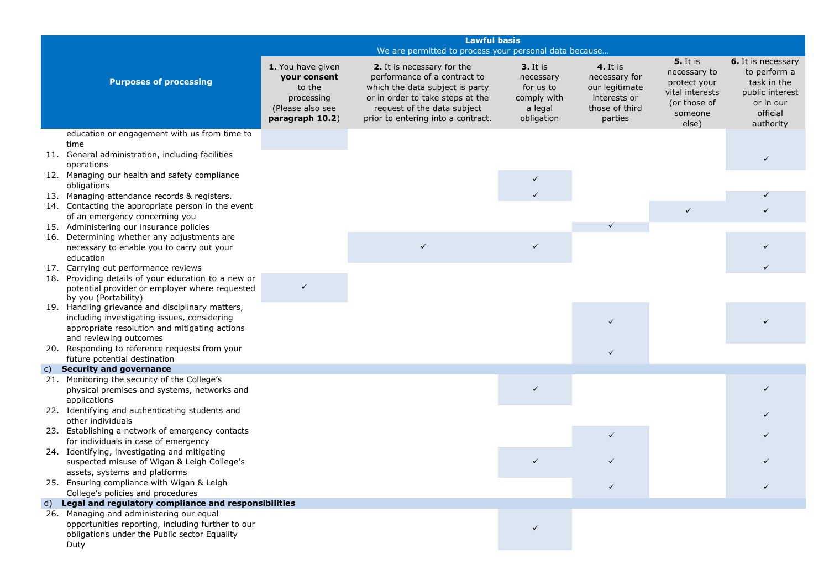| 1. You have given<br>your consent<br><b>Purposes of processing</b><br>to the<br>processing                                                            | <b>Lawful basis</b><br>We are permitted to process your personal data because<br><b>3.</b> It is<br>2. It is necessary for the<br>performance of a contract to<br>necessary<br>which the data subject is party<br>for us to<br>or in order to take steps at the<br>comply with<br>request of the data subject<br>a legal<br>prior to entering into a contract.<br>obligation | <b>4.</b> It is<br>necessary for<br>our legitimate<br>interests or<br>those of third<br>parties | <b>5.</b> It is<br>necessary to<br>protect your<br>vital interests<br>(or those of<br>someone | 6. It is necessary<br>to perform a<br>task in the<br>public interest<br>or in our |
|-------------------------------------------------------------------------------------------------------------------------------------------------------|------------------------------------------------------------------------------------------------------------------------------------------------------------------------------------------------------------------------------------------------------------------------------------------------------------------------------------------------------------------------------|-------------------------------------------------------------------------------------------------|-----------------------------------------------------------------------------------------------|-----------------------------------------------------------------------------------|
|                                                                                                                                                       |                                                                                                                                                                                                                                                                                                                                                                              |                                                                                                 |                                                                                               |                                                                                   |
| (Please also see<br>paragraph 10.2)                                                                                                                   |                                                                                                                                                                                                                                                                                                                                                                              |                                                                                                 | else)                                                                                         | official<br>authority                                                             |
| education or engagement with us from time to                                                                                                          |                                                                                                                                                                                                                                                                                                                                                                              |                                                                                                 |                                                                                               |                                                                                   |
| time<br>11. General administration, including facilities<br>operations                                                                                |                                                                                                                                                                                                                                                                                                                                                                              |                                                                                                 |                                                                                               | $\checkmark$                                                                      |
| 12. Managing our health and safety compliance                                                                                                         | ✓                                                                                                                                                                                                                                                                                                                                                                            |                                                                                                 |                                                                                               |                                                                                   |
| obligations                                                                                                                                           | $\checkmark$                                                                                                                                                                                                                                                                                                                                                                 |                                                                                                 |                                                                                               |                                                                                   |
| 13. Managing attendance records & registers.<br>14. Contacting the appropriate person in the event<br>of an emergency concerning you                  |                                                                                                                                                                                                                                                                                                                                                                              |                                                                                                 | $\checkmark$                                                                                  |                                                                                   |
| 15. Administering our insurance policies                                                                                                              |                                                                                                                                                                                                                                                                                                                                                                              |                                                                                                 |                                                                                               |                                                                                   |
| 16. Determining whether any adjustments are<br>necessary to enable you to carry out your<br>education                                                 | $\checkmark$<br>$\checkmark$                                                                                                                                                                                                                                                                                                                                                 |                                                                                                 |                                                                                               |                                                                                   |
| 17. Carrying out performance reviews                                                                                                                  |                                                                                                                                                                                                                                                                                                                                                                              |                                                                                                 |                                                                                               |                                                                                   |
| 18. Providing details of your education to a new or<br>$\checkmark$<br>potential provider or employer where requested<br>by you (Portability)         |                                                                                                                                                                                                                                                                                                                                                                              |                                                                                                 |                                                                                               |                                                                                   |
| 19. Handling grievance and disciplinary matters,<br>including investigating issues, considering<br>appropriate resolution and mitigating actions      |                                                                                                                                                                                                                                                                                                                                                                              |                                                                                                 |                                                                                               |                                                                                   |
| and reviewing outcomes                                                                                                                                |                                                                                                                                                                                                                                                                                                                                                                              |                                                                                                 |                                                                                               |                                                                                   |
| 20. Responding to reference requests from your<br>future potential destination                                                                        |                                                                                                                                                                                                                                                                                                                                                                              | ✓                                                                                               |                                                                                               |                                                                                   |
| <b>Security and governance</b><br>$\mathsf{c})$                                                                                                       |                                                                                                                                                                                                                                                                                                                                                                              |                                                                                                 |                                                                                               |                                                                                   |
| 21. Monitoring the security of the College's<br>physical premises and systems, networks and<br>applications                                           | $\checkmark$                                                                                                                                                                                                                                                                                                                                                                 |                                                                                                 |                                                                                               |                                                                                   |
| 22. Identifying and authenticating students and<br>other individuals                                                                                  |                                                                                                                                                                                                                                                                                                                                                                              |                                                                                                 |                                                                                               |                                                                                   |
| 23. Establishing a network of emergency contacts<br>for individuals in case of emergency                                                              |                                                                                                                                                                                                                                                                                                                                                                              |                                                                                                 |                                                                                               |                                                                                   |
| 24. Identifying, investigating and mitigating<br>suspected misuse of Wigan & Leigh College's                                                          |                                                                                                                                                                                                                                                                                                                                                                              |                                                                                                 |                                                                                               |                                                                                   |
| assets, systems and platforms<br>25. Ensuring compliance with Wigan & Leigh<br>College's policies and procedures                                      |                                                                                                                                                                                                                                                                                                                                                                              | $\checkmark$                                                                                    |                                                                                               |                                                                                   |
| Legal and regulatory compliance and responsibilities<br>d)                                                                                            |                                                                                                                                                                                                                                                                                                                                                                              |                                                                                                 |                                                                                               |                                                                                   |
| 26. Managing and administering our equal<br>opportunities reporting, including further to our<br>obligations under the Public sector Equality<br>Duty | ✓                                                                                                                                                                                                                                                                                                                                                                            |                                                                                                 |                                                                                               |                                                                                   |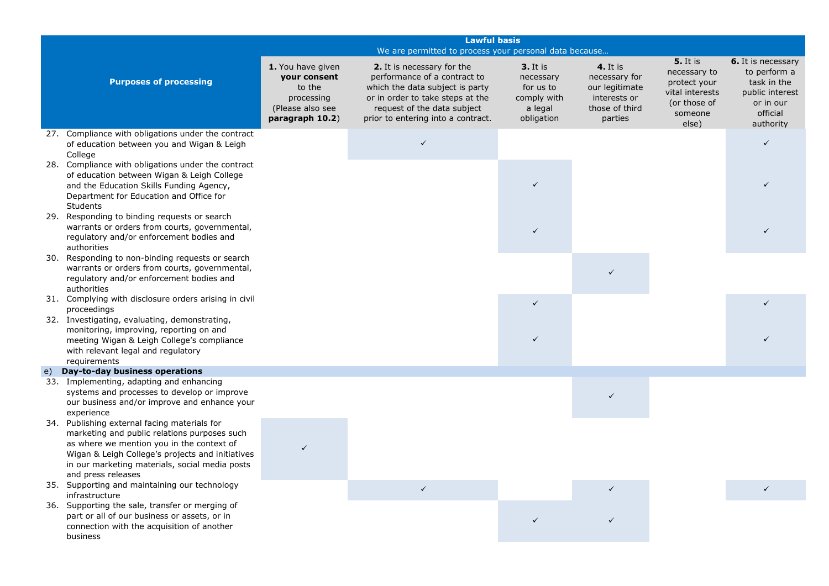|    | <b>Lawful basis</b>                                                                                                                                                                                                                                                   |                                                                                                  |                                                                                                                                                                                                        |                                                                                   |                                                                                                 |                                                                                                        |                                                                                                                   |
|----|-----------------------------------------------------------------------------------------------------------------------------------------------------------------------------------------------------------------------------------------------------------------------|--------------------------------------------------------------------------------------------------|--------------------------------------------------------------------------------------------------------------------------------------------------------------------------------------------------------|-----------------------------------------------------------------------------------|-------------------------------------------------------------------------------------------------|--------------------------------------------------------------------------------------------------------|-------------------------------------------------------------------------------------------------------------------|
|    | We are permitted to process your personal data because                                                                                                                                                                                                                |                                                                                                  |                                                                                                                                                                                                        |                                                                                   |                                                                                                 |                                                                                                        |                                                                                                                   |
|    | <b>Purposes of processing</b>                                                                                                                                                                                                                                         | 1. You have given<br>your consent<br>to the<br>processing<br>(Please also see<br>paragraph 10.2) | 2. It is necessary for the<br>performance of a contract to<br>which the data subject is party<br>or in order to take steps at the<br>request of the data subject<br>prior to entering into a contract. | <b>3.</b> It is<br>necessary<br>for us to<br>comply with<br>a legal<br>obligation | <b>4.</b> It is<br>necessary for<br>our legitimate<br>interests or<br>those of third<br>parties | <b>5.</b> It is<br>necessary to<br>protect your<br>vital interests<br>(or those of<br>someone<br>else) | <b>6.</b> It is necessary<br>to perform a<br>task in the<br>public interest<br>or in our<br>official<br>authority |
|    | 27. Compliance with obligations under the contract<br>of education between you and Wigan & Leigh<br>College                                                                                                                                                           |                                                                                                  | $\checkmark$                                                                                                                                                                                           |                                                                                   |                                                                                                 |                                                                                                        |                                                                                                                   |
|    | 28. Compliance with obligations under the contract<br>of education between Wigan & Leigh College<br>and the Education Skills Funding Agency,<br>Department for Education and Office for<br><b>Students</b>                                                            |                                                                                                  |                                                                                                                                                                                                        | $\checkmark$                                                                      |                                                                                                 |                                                                                                        |                                                                                                                   |
|    | 29. Responding to binding requests or search<br>warrants or orders from courts, governmental,<br>regulatory and/or enforcement bodies and<br>authorities                                                                                                              |                                                                                                  |                                                                                                                                                                                                        |                                                                                   |                                                                                                 |                                                                                                        |                                                                                                                   |
|    | 30. Responding to non-binding requests or search<br>warrants or orders from courts, governmental,<br>regulatory and/or enforcement bodies and<br>authorities                                                                                                          |                                                                                                  |                                                                                                                                                                                                        |                                                                                   | $\checkmark$                                                                                    |                                                                                                        |                                                                                                                   |
|    | 31. Complying with disclosure orders arising in civil<br>proceedings                                                                                                                                                                                                  |                                                                                                  |                                                                                                                                                                                                        | $\checkmark$                                                                      |                                                                                                 |                                                                                                        |                                                                                                                   |
|    | 32. Investigating, evaluating, demonstrating,<br>monitoring, improving, reporting on and<br>meeting Wigan & Leigh College's compliance<br>with relevant legal and regulatory<br>requirements                                                                          |                                                                                                  |                                                                                                                                                                                                        | $\checkmark$                                                                      |                                                                                                 |                                                                                                        |                                                                                                                   |
| e) | Day-to-day business operations                                                                                                                                                                                                                                        |                                                                                                  |                                                                                                                                                                                                        |                                                                                   |                                                                                                 |                                                                                                        |                                                                                                                   |
|    | 33. Implementing, adapting and enhancing<br>systems and processes to develop or improve<br>our business and/or improve and enhance your<br>experience                                                                                                                 |                                                                                                  |                                                                                                                                                                                                        |                                                                                   |                                                                                                 |                                                                                                        |                                                                                                                   |
|    | 34. Publishing external facing materials for<br>marketing and public relations purposes such<br>as where we mention you in the context of<br>Wigan & Leigh College's projects and initiatives<br>in our marketing materials, social media posts<br>and press releases |                                                                                                  |                                                                                                                                                                                                        |                                                                                   |                                                                                                 |                                                                                                        |                                                                                                                   |
|    | 35. Supporting and maintaining our technology<br>infrastructure                                                                                                                                                                                                       |                                                                                                  | $\checkmark$                                                                                                                                                                                           |                                                                                   |                                                                                                 |                                                                                                        |                                                                                                                   |
|    | 36. Supporting the sale, transfer or merging of<br>part or all of our business or assets, or in<br>connection with the acquisition of another<br>business                                                                                                             |                                                                                                  |                                                                                                                                                                                                        |                                                                                   |                                                                                                 |                                                                                                        |                                                                                                                   |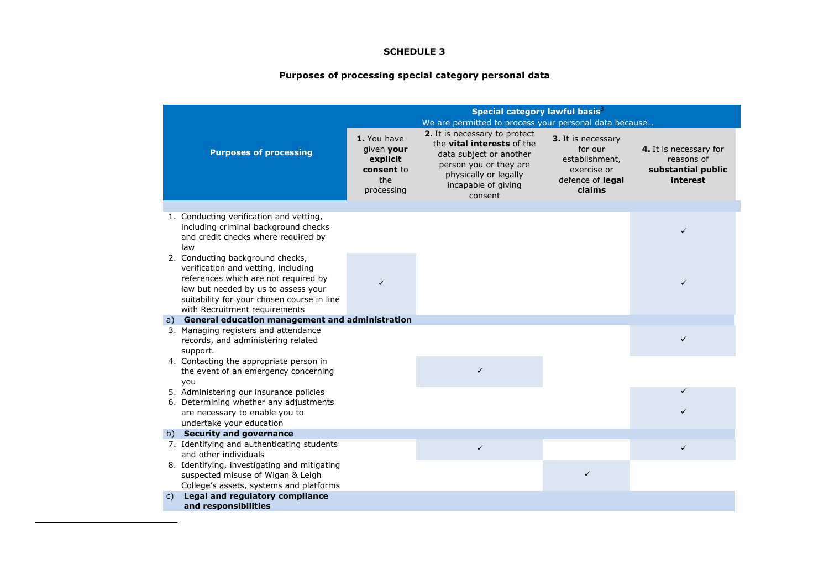# **Purposes of processing special category personal data**

<span id="page-10-0"></span>

|                                                                                                                                                                                                                                       | Special category lawful basis <sup>3</sup><br>We are permitted to process your personal data because |                                                                                                                                                                                    |                                                                                              |                                                                        |
|---------------------------------------------------------------------------------------------------------------------------------------------------------------------------------------------------------------------------------------|------------------------------------------------------------------------------------------------------|------------------------------------------------------------------------------------------------------------------------------------------------------------------------------------|----------------------------------------------------------------------------------------------|------------------------------------------------------------------------|
| <b>Purposes of processing</b>                                                                                                                                                                                                         | 1. You have<br>given your<br>explicit<br>consent to<br>the<br>processing                             | 2. It is necessary to protect<br>the <b>vital interests</b> of the<br>data subject or another<br>person you or they are<br>physically or legally<br>incapable of giving<br>consent | 3. It is necessary<br>for our<br>establishment,<br>exercise or<br>defence of legal<br>claims | 4. It is necessary for<br>reasons of<br>substantial public<br>interest |
|                                                                                                                                                                                                                                       |                                                                                                      |                                                                                                                                                                                    |                                                                                              |                                                                        |
| 1. Conducting verification and vetting,<br>including criminal background checks<br>and credit checks where required by<br>law                                                                                                         |                                                                                                      |                                                                                                                                                                                    |                                                                                              | $\checkmark$                                                           |
| 2. Conducting background checks,<br>verification and vetting, including<br>references which are not required by<br>law but needed by us to assess your<br>suitability for your chosen course in line<br>with Recruitment requirements | $\checkmark$                                                                                         |                                                                                                                                                                                    |                                                                                              | $\checkmark$                                                           |
| a) General education management and administration                                                                                                                                                                                    |                                                                                                      |                                                                                                                                                                                    |                                                                                              |                                                                        |
| 3. Managing registers and attendance                                                                                                                                                                                                  |                                                                                                      |                                                                                                                                                                                    |                                                                                              |                                                                        |
| records, and administering related<br>support.                                                                                                                                                                                        |                                                                                                      |                                                                                                                                                                                    |                                                                                              | $\checkmark$                                                           |
| 4. Contacting the appropriate person in<br>the event of an emergency concerning<br>you                                                                                                                                                |                                                                                                      | $\checkmark$                                                                                                                                                                       |                                                                                              |                                                                        |
| 5. Administering our insurance policies                                                                                                                                                                                               |                                                                                                      |                                                                                                                                                                                    |                                                                                              | $\checkmark$                                                           |
| 6. Determining whether any adjustments<br>are necessary to enable you to<br>undertake your education                                                                                                                                  |                                                                                                      |                                                                                                                                                                                    |                                                                                              | ✓                                                                      |
| b) Security and governance                                                                                                                                                                                                            |                                                                                                      |                                                                                                                                                                                    |                                                                                              |                                                                        |
| 7. Identifying and authenticating students<br>and other individuals                                                                                                                                                                   |                                                                                                      | $\checkmark$                                                                                                                                                                       |                                                                                              | $\checkmark$                                                           |
| 8. Identifying, investigating and mitigating<br>suspected misuse of Wigan & Leigh<br>College's assets, systems and platforms                                                                                                          |                                                                                                      |                                                                                                                                                                                    | $\checkmark$                                                                                 |                                                                        |
| Legal and regulatory compliance<br>$\mathsf{C}$ )                                                                                                                                                                                     |                                                                                                      |                                                                                                                                                                                    |                                                                                              |                                                                        |
| and responsibilities                                                                                                                                                                                                                  |                                                                                                      |                                                                                                                                                                                    |                                                                                              |                                                                        |

**.**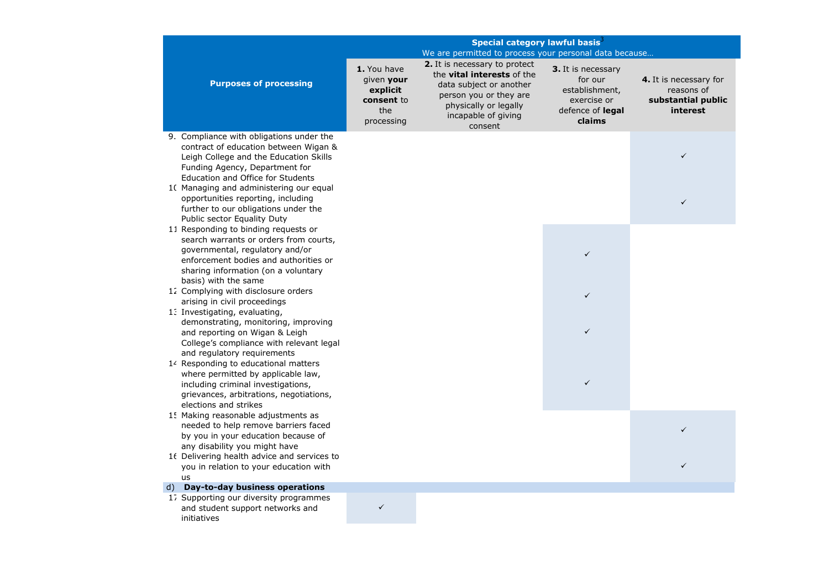|                                                                                                                                                                                                                           | Special category lawful basis <sup>3</sup>                               |                                                                                                                                                                                    |                                                                                                     |                                                                        |  |
|---------------------------------------------------------------------------------------------------------------------------------------------------------------------------------------------------------------------------|--------------------------------------------------------------------------|------------------------------------------------------------------------------------------------------------------------------------------------------------------------------------|-----------------------------------------------------------------------------------------------------|------------------------------------------------------------------------|--|
|                                                                                                                                                                                                                           | We are permitted to process your personal data because                   |                                                                                                                                                                                    |                                                                                                     |                                                                        |  |
| <b>Purposes of processing</b>                                                                                                                                                                                             | 1. You have<br>given your<br>explicit<br>consent to<br>the<br>processing | 2. It is necessary to protect<br>the <b>vital interests</b> of the<br>data subject or another<br>person you or they are<br>physically or legally<br>incapable of giving<br>consent | <b>3.</b> It is necessary<br>for our<br>establishment,<br>exercise or<br>defence of legal<br>claims | 4. It is necessary for<br>reasons of<br>substantial public<br>interest |  |
| 9. Compliance with obligations under the<br>contract of education between Wigan &<br>Leigh College and the Education Skills<br>Funding Agency, Department for<br>Education and Office for Students                        |                                                                          |                                                                                                                                                                                    |                                                                                                     | $\checkmark$                                                           |  |
| 10 Managing and administering our equal<br>opportunities reporting, including<br>further to our obligations under the<br>Public sector Equality Duty                                                                      |                                                                          |                                                                                                                                                                                    |                                                                                                     |                                                                        |  |
| 11 Responding to binding requests or<br>search warrants or orders from courts,<br>governmental, regulatory and/or<br>enforcement bodies and authorities or<br>sharing information (on a voluntary<br>basis) with the same |                                                                          |                                                                                                                                                                                    | ✓                                                                                                   |                                                                        |  |
| 12 Complying with disclosure orders<br>arising in civil proceedings                                                                                                                                                       |                                                                          |                                                                                                                                                                                    | ✓                                                                                                   |                                                                        |  |
| 13 Investigating, evaluating,<br>demonstrating, monitoring, improving<br>and reporting on Wigan & Leigh<br>College's compliance with relevant legal<br>and regulatory requirements                                        |                                                                          |                                                                                                                                                                                    | ✓                                                                                                   |                                                                        |  |
| 14 Responding to educational matters<br>where permitted by applicable law,<br>including criminal investigations,<br>grievances, arbitrations, negotiations,<br>elections and strikes                                      |                                                                          |                                                                                                                                                                                    | $\checkmark$                                                                                        |                                                                        |  |
| 1. Making reasonable adjustments as<br>needed to help remove barriers faced<br>by you in your education because of                                                                                                        |                                                                          |                                                                                                                                                                                    |                                                                                                     | ✓                                                                      |  |
| any disability you might have<br>16 Delivering health advice and services to<br>you in relation to your education with<br>us                                                                                              |                                                                          |                                                                                                                                                                                    |                                                                                                     | ✓                                                                      |  |
| d) Day-to-day business operations                                                                                                                                                                                         |                                                                          |                                                                                                                                                                                    |                                                                                                     |                                                                        |  |
| 17 Supporting our diversity programmes<br>and student support networks and<br>initiatives                                                                                                                                 | $\checkmark$                                                             |                                                                                                                                                                                    |                                                                                                     |                                                                        |  |